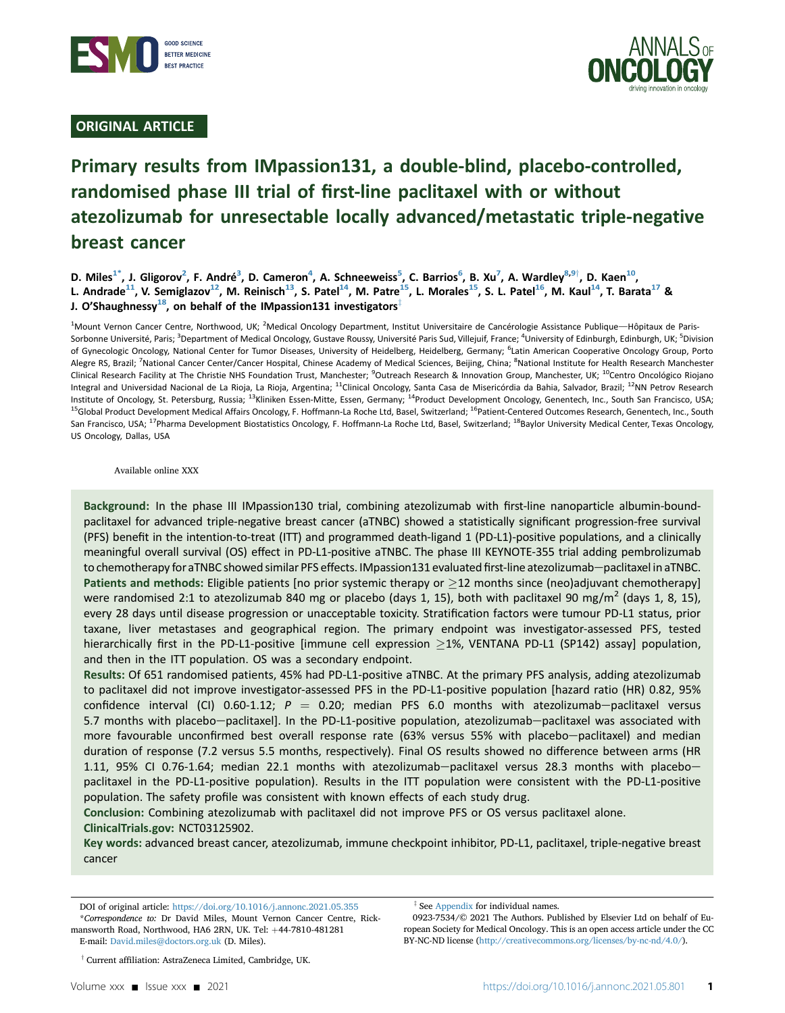

# ORIGINAL ARTICLE



# Primary results from IMpassion131, a double-blind, placebo-controlled, randomised phase III trial of first-line paclitaxel with or without atezolizumab for unresectable locally advanced/metastatic triple-negative breast cancer

D. Miles<sup>[1](#page-0-0)\*</sup>, J. Gligorov<sup>2</sup>, F. André<sup>[3](#page-0-2)</sup>, D. Cameron<sup>[4](#page-0-2)</sup>, A. Schneeweiss<sup>[5](#page-0-2)</sup>, C. Barrios<sup>[6](#page-0-3)</sup>, B. Xu<sup>[7](#page-0-4)</sup>, A. Wardley<sup>8,[9](#page-0-5)†</sup>, D. Kaen<sup>10</sup>, L. Andrade<sup>[11](#page-0-6)</sup>, V. Semiglazov<sup>12</sup>, M. Reinisch<sup>13</sup>, S. Patel<sup>14</sup>, M. Patre<sup>[15](#page-0-7)</sup>, L. Morales<sup>15</sup>, S. L. Patel<sup>16</sup>, M. Kaul<sup>14</sup>, T. Barata<sup>17</sup> & J. O'Shaughnessy<sup>18</sup>, on behalf of the IMpassion131 investigators<sup>‡</sup>

<span id="page-0-7"></span><span id="page-0-6"></span><span id="page-0-5"></span><span id="page-0-4"></span><span id="page-0-3"></span><span id="page-0-2"></span><span id="page-0-0"></span><sup>1</sup>Mount Vernon Cancer Centre, Northwood, UK; <sup>2</sup>Medical Oncology Department, Institut Universitaire de Cancérologie Assistance Publique—Hôpitaux de Paris-Sorbonne Université, Paris; <sup>3</sup>Department of Medical Oncology, Gustave Roussy, Université Paris Sud, Villejuif, France; <sup>4</sup>University of Edinburgh, Edinburgh, UK; <sup>5</sup>Division of Gynecologic Oncology, National Center for Tumor Diseases, University of Heidelberg, Heidelberg, Germany; <sup>6</sup>Latin American Cooperative Oncology Group, Portc Alegre RS, Brazil; <sup>7</sup>National Cancer Center/Cancer Hospital, Chinese Academy of Medical Sciences, Beijing, China; <sup>8</sup>National Institute for Health Research Manchester Clinical Research Facility at The Christie NHS Foundation Trust, Manchester; <sup>9</sup>Outreach Research & Innovation Group, Manchester, UK; <sup>10</sup>Centro Oncológico Riojano Integral and Universidad Nacional de La Rioja, La Rioja, Argentina; <sup>11</sup>Clinical Oncology, Santa Casa de Misericórdia da Bahia, Salvador, Brazil; <sup>12</sup>NN Petrov Research Institute of Oncology, St. Petersburg, Russia; <sup>13</sup>Kliniken Essen-Mitte, Essen, Germany; <sup>14</sup>Product Development Oncology, Genentech, Inc., South San Francisco, USA; <sup>15</sup>Global Product Development Medical Affairs Oncology, F. Hoffmann-La Roche Ltd, Basel, Switzerland; <sup>16</sup>Patient-Centered Outcomes Research, Genentech, Inc., South San Francisco, USA; <sup>17</sup>Pharma Development Biostatistics Oncology, F. Hoffmann-La Roche Ltd, Basel, Switzerland; <sup>18</sup>Baylor University Medical Center, Texas Oncology, US Oncology, Dallas, USA

<span id="page-0-9"></span><span id="page-0-8"></span>Available online XXX

Background: In the phase III IMpassion130 trial, combining atezolizumab with first-line nanoparticle albumin-boundpaclitaxel for advanced triple-negative breast cancer (aTNBC) showed a statistically significant progression-free survival (PFS) benefit in the intention-to-treat (ITT) and programmed death-ligand 1 (PD-L1)-positive populations, and a clinically meaningful overall survival (OS) effect in PD-L1-positive aTNBC. The phase III KEYNOTE-355 trial adding pembrolizumab to chemotherapy for aTNBC showed similar PFS effects. IMpassion131 evaluated first-line atezolizumab-paclitaxel in aTNBC. Patients and methods: Eligible patients [no prior systemic therapy or  $\geq$ 12 months since (neo)adjuvant chemotherapy] were randomised 2:1 to atezolizumab 840 mg or placebo (days 1, 15), both with paclitaxel 90 mg/m<sup>2</sup> (days 1, 8, 15), every 28 days until disease progression or unacceptable toxicity. Stratification factors were tumour PD-L1 status, prior taxane, liver metastases and geographical region. The primary endpoint was investigator-assessed PFS, tested hierarchically first in the PD-L1-positive [immune cell expression  $\geq$ 1%, VENTANA PD-L1 (SP142) assay] population, and then in the ITT population. OS was a secondary endpoint.

Results: Of 651 randomised patients, 45% had PD-L1-positive aTNBC. At the primary PFS analysis, adding atezolizumab to paclitaxel did not improve investigator-assessed PFS in the PD-L1-positive population [hazard ratio (HR) 0.82, 95% confidence interval (CI) 0.60-1.12;  $P = 0.20$ ; median PFS 6.0 months with atezolizumab-paclitaxel versus 5.7 months with placebo-paclitaxel]. In the PD-L1-positive population, atezolizumab-paclitaxel was associated with more favourable unconfirmed best overall response rate (63% versus 55% with placebo-paclitaxel) and median duration of response (7.2 versus 5.5 months, respectively). Final OS results showed no difference between arms (HR 1.11, 95% CI 0.76-1.64; median 22.1 months with atezolizumab-paclitaxel versus 28.3 months with placebopaclitaxel in the PD-L1-positive population). Results in the ITT population were consistent with the PD-L1-positive population. The safety profile was consistent with known effects of each study drug.

Conclusion: Combining atezolizumab with paclitaxel did not improve PFS or OS versus paclitaxel alone. ClinicalTrials.gov: NCT03125902.

Key words: advanced breast cancer, atezolizumab, immune checkpoint inhibitor, PD-L1, paclitaxel, triple-negative breast cancer

<span id="page-0-1"></span>DOI of original article: https://doi.org/10.1016/j.annonc.2021.05.355 \*Correspondence to: Dr David Miles, Mount Vernon Cancer Centre, Rickmansworth Road, Northwood, HA6 2RN, UK. Tel: +44-7810-481281 E-mail: [David.miles@doctors.org.uk](mailto:David.miles@doctors.org.uk) (D. Miles).

 $*$  See [Appendix](#page-10-0) for individual names.

0923-7534/© 2021 The Authors. Published by Elsevier Ltd on behalf of European Society for Medical Oncology. This is an open access article under the CC BY-NC-ND license [\(http://creativecommons.org/licenses/by-nc-nd/4.0/](http://creativecommons.org/licenses/by-nc-nd/4.0/)).

 $\dagger$  Current affiliation: AstraZeneca Limited, Cambridge, UK.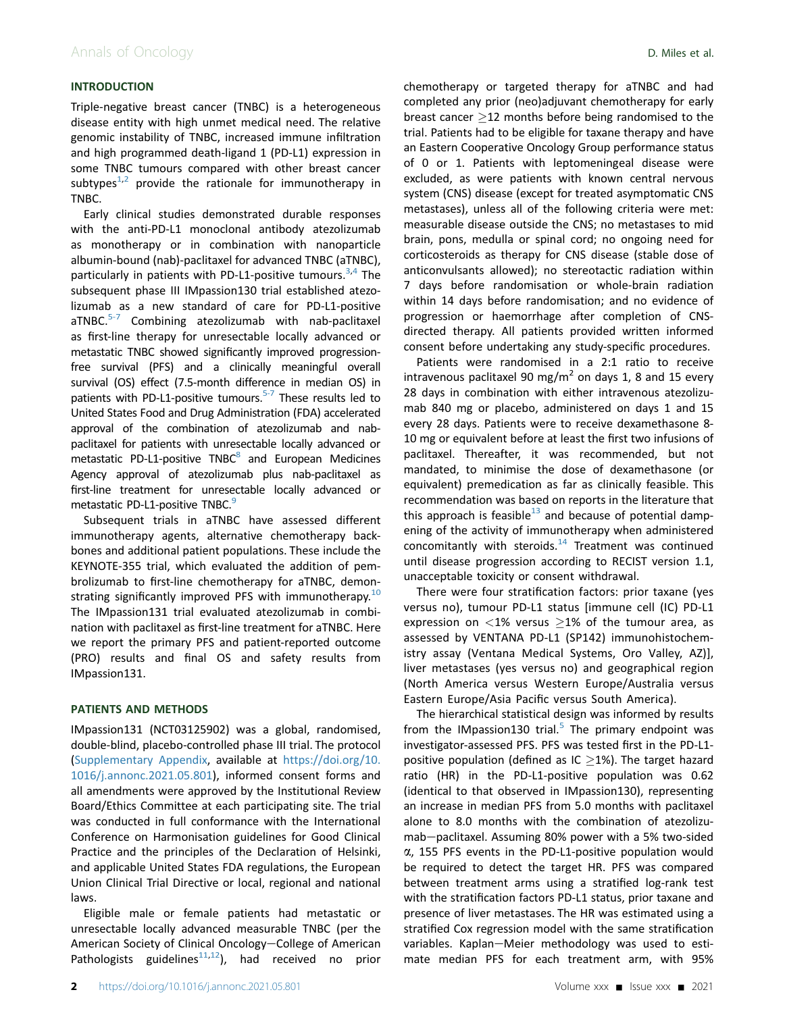### INTRODUCTION

Triple-negative breast cancer (TNBC) is a heterogeneous disease entity with high unmet medical need. The relative genomic instability of TNBC, increased immune infiltration and high programmed death-ligand 1 (PD-L1) expression in some TNBC tumours compared with other breast cancer subtypes $1,2$  $1,2$  $1,2$  provide the rationale for immunotherapy in TNBC.

Early clinical studies demonstrated durable responses with the anti-PD-L1 monoclonal antibody atezolizumab as monotherapy or in combination with nanoparticle albumin-bound (nab)-paclitaxel for advanced TNBC (aTNBC), particularly in patients with PD-L1-positive tumours.<sup>[3](#page-9-2)[,4](#page-9-3)</sup> The subsequent phase III IMpassion130 trial established atezolizumab as a new standard of care for PD-L1-positive  $aTNBC.<sup>5-7</sup>$  $aTNBC.<sup>5-7</sup>$  $aTNBC.<sup>5-7</sup>$  Combining atezolizumab with nab-paclitaxel as first-line therapy for unresectable locally advanced or metastatic TNBC showed significantly improved progressionfree survival (PFS) and a clinically meaningful overall survival (OS) effect (7.5-month difference in median OS) in patients with PD-L1-positive tumours.<sup>5-7</sup> These results led to United States Food and Drug Administration (FDA) accelerated approval of the combination of atezolizumab and nabpaclitaxel for patients with unresectable locally advanced or metastatic PD-L1-positive  $TNBC<sup>8</sup>$  and European Medicines Agency approval of atezolizumab plus nab-paclitaxel as first-line treatment for unresectable locally advanced or metastatic PD-L1-positive TNBC.<sup>[9](#page-9-6)</sup>

Subsequent trials in aTNBC have assessed different immunotherapy agents, alternative chemotherapy backbones and additional patient populations. These include the KEYNOTE-355 trial, which evaluated the addition of pembrolizumab to first-line chemotherapy for aTNBC, demon-strating significantly improved PFS with immunotherapy.<sup>[10](#page-9-7)</sup> The IMpassion131 trial evaluated atezolizumab in combination with paclitaxel as first-line treatment for aTNBC. Here we report the primary PFS and patient-reported outcome (PRO) results and final OS and safety results from IMpassion131.

#### PATIENTS AND METHODS

IMpassion131 (NCT03125902) was a global, randomised, double-blind, placebo-controlled phase III trial. The protocol (Supplementary Appendix, available at [https://doi.org/10.](https://doi.org/10.1016/j.annonc.2021.05.801) [1016/j.annonc.2021.05.801\)](https://doi.org/10.1016/j.annonc.2021.05.801), informed consent forms and all amendments were approved by the Institutional Review Board/Ethics Committee at each participating site. The trial was conducted in full conformance with the International Conference on Harmonisation guidelines for Good Clinical Practice and the principles of the Declaration of Helsinki, and applicable United States FDA regulations, the European Union Clinical Trial Directive or local, regional and national laws.

Eligible male or female patients had metastatic or unresectable locally advanced measurable TNBC (per the American Society of Clinical Oncology-College of American Pathologists guidelines $11,12$  $11,12$ ), had received no prior chemotherapy or targeted therapy for aTNBC and had completed any prior (neo)adjuvant chemotherapy for early breast cancer  $\geq$ 12 months before being randomised to the trial. Patients had to be eligible for taxane therapy and have an Eastern Cooperative Oncology Group performance status of 0 or 1. Patients with leptomeningeal disease were excluded, as were patients with known central nervous system (CNS) disease (except for treated asymptomatic CNS metastases), unless all of the following criteria were met: measurable disease outside the CNS; no metastases to mid brain, pons, medulla or spinal cord; no ongoing need for corticosteroids as therapy for CNS disease (stable dose of anticonvulsants allowed); no stereotactic radiation within 7 days before randomisation or whole-brain radiation within 14 days before randomisation; and no evidence of progression or haemorrhage after completion of CNSdirected therapy. All patients provided written informed consent before undertaking any study-specific procedures.

Patients were randomised in a 2:1 ratio to receive intravenous paclitaxel 90 mg/m<sup>2</sup> on days 1, 8 and 15 every 28 days in combination with either intravenous atezolizumab 840 mg or placebo, administered on days 1 and 15 every 28 days. Patients were to receive dexamethasone 8- 10 mg or equivalent before at least the first two infusions of paclitaxel. Thereafter, it was recommended, but not mandated, to minimise the dose of dexamethasone (or equivalent) premedication as far as clinically feasible. This recommendation was based on reports in the literature that this approach is feasible<sup>13</sup> and because of potential dampening of the activity of immunotherapy when administered concomitantly with steroids. $14$  Treatment was continued until disease progression according to RECIST version 1.1, unacceptable toxicity or consent withdrawal.

There were four stratification factors: prior taxane (yes versus no), tumour PD-L1 status [immune cell (IC) PD-L1 expression on  $\langle 1\%$  versus  $\geq$ 1% of the tumour area, as assessed by VENTANA PD-L1 (SP142) immunohistochemistry assay (Ventana Medical Systems, Oro Valley, AZ)], liver metastases (yes versus no) and geographical region (North America versus Western Europe/Australia versus Eastern Europe/Asia Pacific versus South America).

The hierarchical statistical design was informed by results from the IMpassion130 trial. $5$  The primary endpoint was investigator-assessed PFS. PFS was tested first in the PD-L1 positive population (defined as IC  $\geq$  1%). The target hazard ratio (HR) in the PD-L1-positive population was 0.62 (identical to that observed in IMpassion130), representing an increase in median PFS from 5.0 months with paclitaxel alone to 8.0 months with the combination of atezolizumab-paclitaxel. Assuming 80% power with a 5% two-sided a, 155 PFS events in the PD-L1-positive population would be required to detect the target HR. PFS was compared between treatment arms using a stratified log-rank test with the stratification factors PD-L1 status, prior taxane and presence of liver metastases. The HR was estimated using a stratified Cox regression model with the same stratification variables. Kaplan-Meier methodology was used to estimate median PFS for each treatment arm, with 95%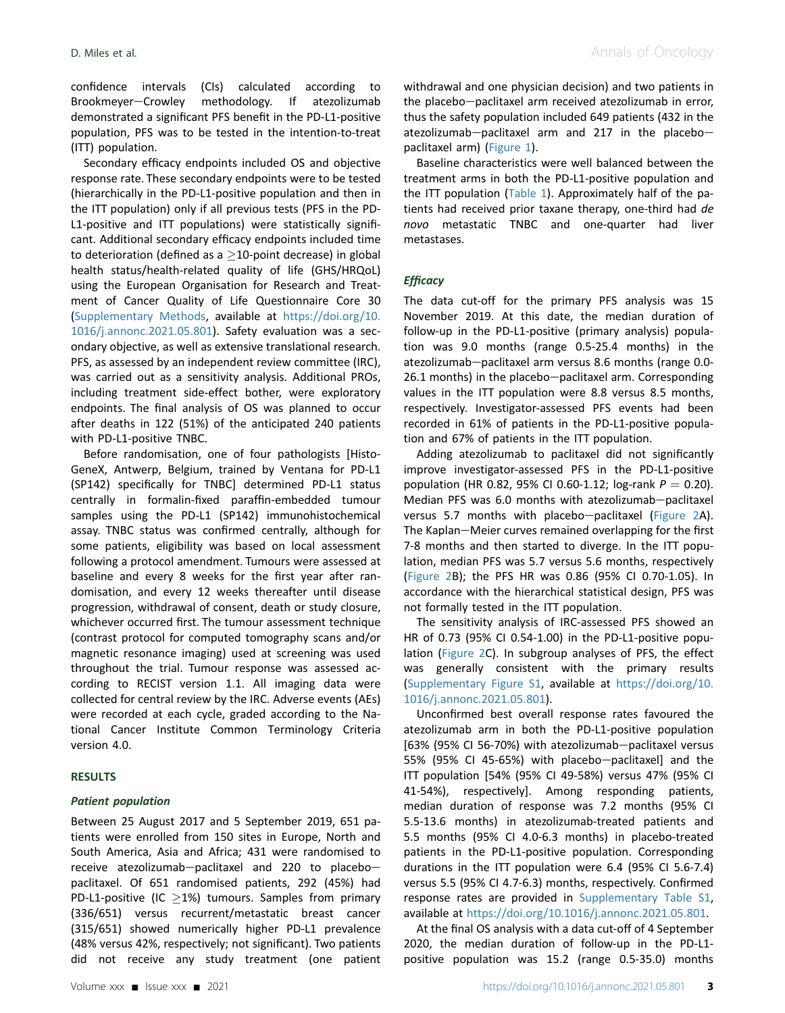confidence intervals (CIs) calculated according to Brookmeyer-Crowley methodology. If atezolizumab demonstrated a significant PFS benefit in the PD-L1-positive population, PFS was to be tested in the intention-to-treat (ITT) population.

Secondary efficacy endpoints included OS and objective response rate. These secondary endpoints were to be tested (hierarchically in the PD-L1-positive population and then in the ITT population) only if all previous tests (PFS in the PD-L1-positive and ITT populations) were statistically significant. Additional secondary efficacy endpoints included time to deterioration (defined as a  $\geq$ 10-point decrease) in global health status/health-related quality of life (GHS/HRQoL) using the European Organisation for Research and Treatment of Cancer Quality of Life Questionnaire Core 30 (Supplementary Methods, available at [https://doi.org/10.](https://doi.org/10.1016/j.annonc.2021.05.801) [1016/j.annonc.2021.05.801\)](https://doi.org/10.1016/j.annonc.2021.05.801). Safety evaluation was a secondary objective, as well as extensive translational research. PFS, as assessed by an independent review committee (IRC), was carried out as a sensitivity analysis. Additional PROs, including treatment side-effect bother, were exploratory endpoints. The final analysis of OS was planned to occur after deaths in 122 (51%) of the anticipated 240 patients with PD-L1-positive TNBC.

Before randomisation, one of four pathologists [Histo-GeneX, Antwerp, Belgium, trained by Ventana for PD-L1 (SP142) specifically for TNBC] determined PD-L1 status centrally in formalin-fixed paraffin-embedded tumour samples using the PD-L1 (SP142) immunohistochemical assay. TNBC status was confirmed centrally, although for some patients, eligibility was based on local assessment following a protocol amendment. Tumours were assessed at baseline and every 8 weeks for the first year after randomisation, and every 12 weeks thereafter until disease progression, withdrawal of consent, death or study closure, whichever occurred first. The tumour assessment technique (contrast protocol for computed tomography scans and/or magnetic resonance imaging) used at screening was used throughout the trial. Tumour response was assessed according to RECIST version 1.1. All imaging data were collected for central review by the IRC. Adverse events (AEs) were recorded at each cycle, graded according to the National Cancer Institute Common Terminology Criteria version 4.0.

#### RESULTS

#### Patient population

Between 25 August 2017 and 5 September 2019, 651 patients were enrolled from 150 sites in Europe, North and South America, Asia and Africa; 431 were randomised to receive atezolizumab-paclitaxel and 220 to placebopaclitaxel. Of 651 randomised patients, 292 (45%) had PD-L1-positive (IC  $\geq$ 1%) tumours. Samples from primary (336/651) versus recurrent/metastatic breast cancer (315/651) showed numerically higher PD-L1 prevalence (48% versus 42%, respectively; not significant). Two patients did not receive any study treatment (one patient withdrawal and one physician decision) and two patients in the placebo-paclitaxel arm received atezolizumab in error, thus the safety population included 649 patients (432 in the atezolizumab-paclitaxel arm and 217 in the placebopaclitaxel arm) [\(Figure 1\)](#page-3-0).

Baseline characteristics were well balanced between the treatment arms in both the PD-L1-positive population and the ITT population ([Table 1\)](#page-3-1). Approximately half of the patients had received prior taxane therapy, one-third had de novo metastatic TNBC and one-quarter had liver metastases.

#### **Efficacy**

The data cut-off for the primary PFS analysis was 15 November 2019. At this date, the median duration of follow-up in the PD-L1-positive (primary analysis) population was 9.0 months (range 0.5-25.4 months) in the atezolizumab-paclitaxel arm versus 8.6 months (range 0.0- $26.1$  months) in the placebo-paclitaxel arm. Corresponding values in the ITT population were 8.8 versus 8.5 months, respectively. Investigator-assessed PFS events had been recorded in 61% of patients in the PD-L1-positive population and 67% of patients in the ITT population.

Adding atezolizumab to paclitaxel did not significantly improve investigator-assessed PFS in the PD-L1-positive population (HR 0.82, 95% CI 0.60-1.12; log-rank  $P = 0.20$ ). Median PFS was 6.0 months with atezolizumab-paclitaxel versus 5.7 months with placebo-paclitaxel [\(Figure 2A](#page-4-0)). The Kaplan-Meier curves remained overlapping for the first 7-8 months and then started to diverge. In the ITT population, median PFS was 5.7 versus 5.6 months, respectively [\(Figure 2B](#page-4-0)); the PFS HR was 0.86 (95% CI 0.70-1.05). In accordance with the hierarchical statistical design, PFS was not formally tested in the ITT population.

The sensitivity analysis of IRC-assessed PFS showed an HR of 0.73 (95% CI 0.54-1.00) in the PD-L1-positive population ([Figure 2C](#page-4-0)). In subgroup analyses of PFS, the effect was generally consistent with the primary results (Supplementary Figure S1, available at [https://doi.org/10.](https://doi.org/10.1016/j.annonc.2021.05.801) [1016/j.annonc.2021.05.801\)](https://doi.org/10.1016/j.annonc.2021.05.801).

Unconfirmed best overall response rates favoured the atezolizumab arm in both the PD-L1-positive population [63% (95% CI 56-70%) with atezolizumab-paclitaxel versus 55% (95% CI 45-65%) with placebo-paclitaxel] and the ITT population [54% (95% CI 49-58%) versus 47% (95% CI 41-54%), respectively]. Among responding patients, median duration of response was 7.2 months (95% CI 5.5-13.6 months) in atezolizumab-treated patients and 5.5 months (95% CI 4.0-6.3 months) in placebo-treated patients in the PD-L1-positive population. Corresponding durations in the ITT population were 6.4 (95% CI 5.6-7.4) versus 5.5 (95% CI 4.7-6.3) months, respectively. Confirmed response rates are provided in Supplementary Table S1, available at [https://doi.org/10.1016/j.annonc.2021.05.801.](https://doi.org/10.1016/j.annonc.2021.05.801)

At the final OS analysis with a data cut-off of 4 September 2020, the median duration of follow-up in the PD-L1 positive population was 15.2 (range 0.5-35.0) months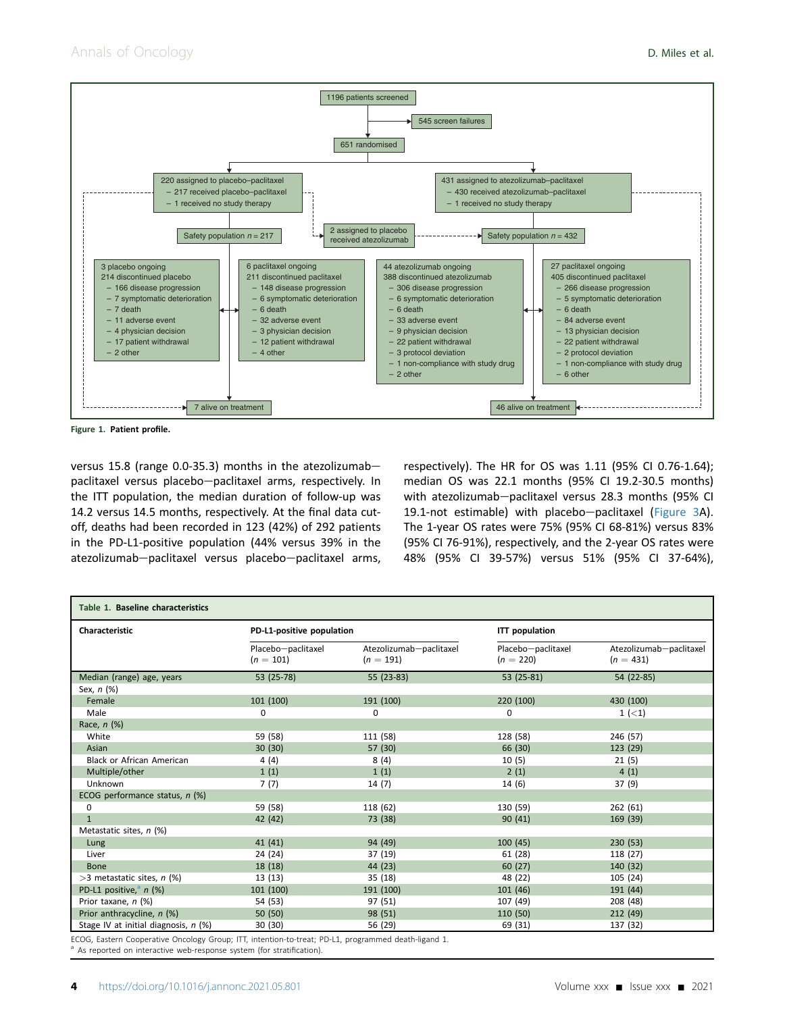<span id="page-3-0"></span>

Figure 1. Patient profile.

versus 15.8 (range 0.0-35.3) months in the atezolizumabpaclitaxel versus placebo-paclitaxel arms, respectively. In the ITT population, the median duration of follow-up was 14.2 versus 14.5 months, respectively. At the final data cutoff, deaths had been recorded in 123 (42%) of 292 patients in the PD-L1-positive population (44% versus 39% in the atezolizumab-paclitaxel versus placebo-paclitaxel arms, respectively). The HR for OS was 1.11 (95% CI 0.76-1.64); median OS was 22.1 months (95% CI 19.2-30.5 months) with atezolizumab-paclitaxel versus 28.3 months (95% CI 19.1-not estimable) with placebo-paclitaxel ([Figure 3A](#page-6-0)). The 1-year OS rates were 75% (95% CI 68-81%) versus 83% (95% CI 76-91%), respectively, and the 2-year OS rates were 48% (95% CI 39-57%) versus 51% (95% CI 37-64%),

<span id="page-3-1"></span>

| Table 1. Baseline characteristics    |                                   |                                        |                                   |                                        |  |  |  |
|--------------------------------------|-----------------------------------|----------------------------------------|-----------------------------------|----------------------------------------|--|--|--|
| Characteristic                       | PD-L1-positive population         |                                        | <b>ITT</b> population             |                                        |  |  |  |
|                                      | Placebo-paclitaxel<br>$(n = 101)$ | Atezolizumab-paclitaxel<br>$(n = 191)$ | Placebo-paclitaxel<br>$(n = 220)$ | Atezolizumab-paclitaxel<br>$(n = 431)$ |  |  |  |
| Median (range) age, years            | 53 (25-78)                        | 55 (23-83)                             | 53 (25-81)                        | 54 (22-85)                             |  |  |  |
| Sex, n (%)                           |                                   |                                        |                                   |                                        |  |  |  |
| Female                               | 101(100)                          | 191 (100)                              | 220 (100)                         | 430 (100)                              |  |  |  |
| Male                                 | 0                                 | 0                                      | 0                                 | $1 (-1)$                               |  |  |  |
| Race, n (%)                          |                                   |                                        |                                   |                                        |  |  |  |
| White                                | 59 (58)                           | 111 (58)                               | 128 (58)                          | 246 (57)                               |  |  |  |
| Asian                                | 30(30)                            | 57 (30)                                | 66 (30)                           | 123 (29)                               |  |  |  |
| <b>Black or African American</b>     | 4(4)                              | 8(4)                                   | 10(5)                             | 21(5)                                  |  |  |  |
| Multiple/other                       | 1(1)                              | 1(1)                                   | 2(1)                              | 4(1)                                   |  |  |  |
| Unknown                              | 7(7)                              | 14(7)                                  | 14 (6)                            | 37 (9)                                 |  |  |  |
| ECOG performance status, n (%)       |                                   |                                        |                                   |                                        |  |  |  |
| 0                                    | 59 (58)                           | 118 (62)                               | 130 (59)                          | 262(61)                                |  |  |  |
| $\mathbf{1}$                         | 42 (42)                           | 73 (38)                                | 90(41)                            | 169 (39)                               |  |  |  |
| Metastatic sites, n (%)              |                                   |                                        |                                   |                                        |  |  |  |
| Lung                                 | 41(41)                            | 94 (49)                                | 100(45)                           | 230(53)                                |  |  |  |
| Liver                                | 24 (24)                           | 37 (19)                                | 61 (28)                           | 118 (27)                               |  |  |  |
| <b>Bone</b>                          | 18(18)                            | 44 (23)                                | 60(27)                            | 140 (32)                               |  |  |  |
| $>$ 3 metastatic sites, n (%)        | 13(13)                            | 35 (18)                                | 48 (22)                           | 105 (24)                               |  |  |  |
| PD-L1 positive, <sup>a</sup> $n$ (%) | 101(100)                          | 191 (100)                              | 101(46)                           | 191(44)                                |  |  |  |
| Prior taxane, n (%)                  | 54 (53)                           | 97 (51)                                | 107 (49)                          | 208 (48)                               |  |  |  |
| Prior anthracycline, n (%)           | 50(50)                            | 98 (51)                                | 110 (50)                          | 212(49)                                |  |  |  |
| Stage IV at initial diagnosis, n (%) | 30 (30)                           | 56 (29)                                | 69 (31)                           | 137 (32)                               |  |  |  |

ECOG, Eastern Cooperative Oncology Group; ITT, intention-to-treat; PD-L1, programmed death-ligand 1.

<span id="page-3-2"></span>As reported on interactive web-response system (for stratification).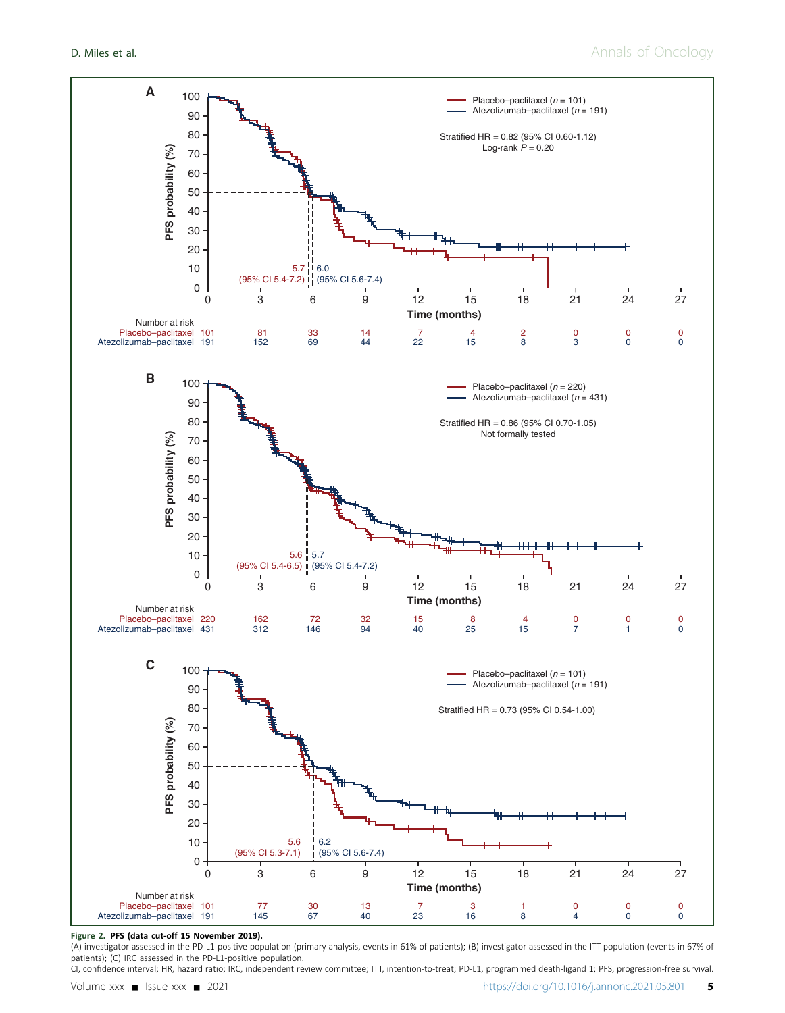# **D. Miles et al.** Annals of Oncology

<span id="page-4-0"></span>

#### Figure 2. PFS (data cut-off 15 November 2019).

(A) investigator assessed in the PD-L1-positive population (primary analysis, events in 61% of patients); (B) investigator assessed in the ITT population (events in 67% of patients); (C) IRC assessed in the PD-L1-positive population.

CI, confidence interval; HR, hazard ratio; IRC, independent review committee; ITT, intention-to-treat; PD-L1, programmed death-ligand 1; PFS, progression-free survival.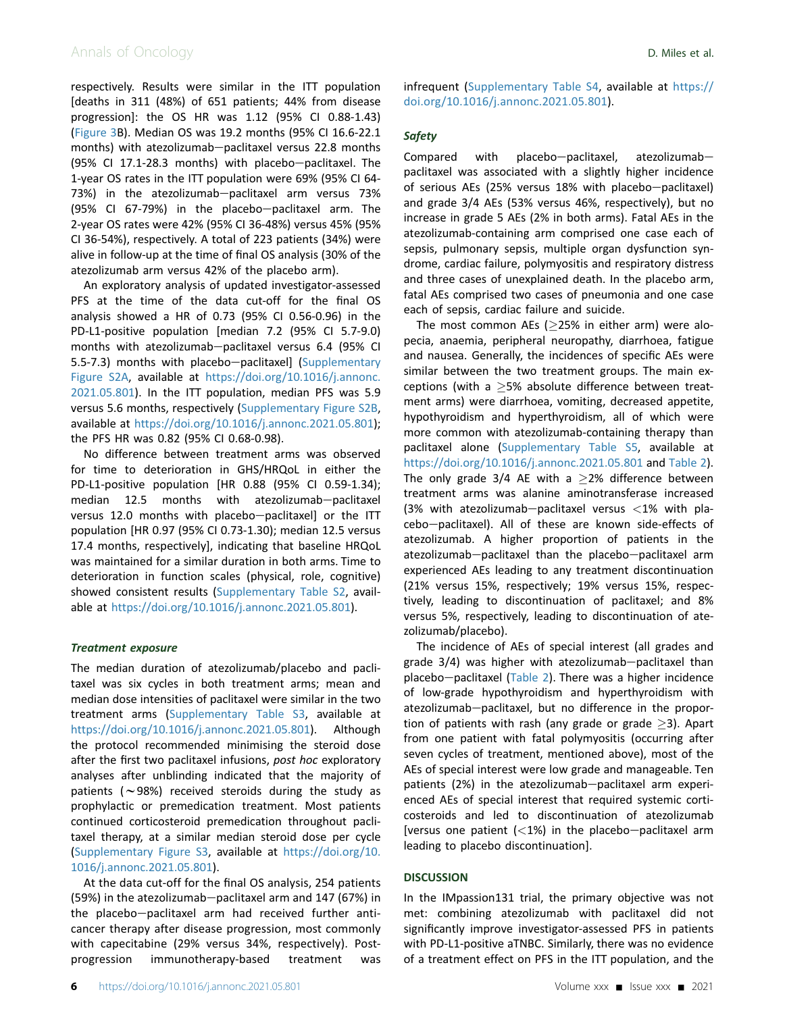## Annals of Oncology **D. Miles et al.**

respectively. Results were similar in the ITT population [deaths in 311 (48%) of 651 patients; 44% from disease progression]: the OS HR was 1.12 (95% CI 0.88-1.43) [\(Figure 3](#page-6-0)B). Median OS was 19.2 months (95% CI 16.6-22.1 months) with atezolizumab-paclitaxel versus 22.8 months (95% CI 17.1-28.3 months) with placebo-paclitaxel. The 1-year OS rates in the ITT population were 69% (95% CI 64- 73%) in the atezolizumab-paclitaxel arm versus 73% (95% CI 67-79%) in the placebo-paclitaxel arm. The 2-year OS rates were 42% (95% CI 36-48%) versus 45% (95% CI 36-54%), respectively. A total of 223 patients (34%) were alive in follow-up at the time of final OS analysis (30% of the atezolizumab arm versus 42% of the placebo arm).

An exploratory analysis of updated investigator-assessed PFS at the time of the data cut-off for the final OS analysis showed a HR of 0.73 (95% CI 0.56-0.96) in the PD-L1-positive population [median 7.2 (95% CI 5.7-9.0) months with atezolizumab-paclitaxel versus 6.4 (95% CI 5.5-7.3) months with placebo-paclitaxel] (Supplementary Figure S2A, available at [https://doi.org/10.1016/j.annonc.](https://doi.org/10.1016/j.annonc.2021.05.801) [2021.05.801](https://doi.org/10.1016/j.annonc.2021.05.801)). In the ITT population, median PFS was 5.9 versus 5.6 months, respectively (Supplementary Figure S2B, available at [https://doi.org/10.1016/j.annonc.2021.05.801\)](https://doi.org/10.1016/j.annonc.2021.05.801); the PFS HR was 0.82 (95% CI 0.68-0.98).

No difference between treatment arms was observed for time to deterioration in GHS/HRQoL in either the PD-L1-positive population [HR 0.88 (95% CI 0.59-1.34);  $median$  12.5 months with atezolizumab-paclitaxel versus 12.0 months with placebo-paclitaxel] or the ITT population [HR 0.97 (95% CI 0.73-1.30); median 12.5 versus 17.4 months, respectively], indicating that baseline HRQoL was maintained for a similar duration in both arms. Time to deterioration in function scales (physical, role, cognitive) showed consistent results (Supplementary Table S2, available at [https://doi.org/10.1016/j.annonc.2021.05.801\)](https://doi.org/10.1016/j.annonc.2021.05.801).

#### Treatment exposure

The median duration of atezolizumab/placebo and paclitaxel was six cycles in both treatment arms; mean and median dose intensities of paclitaxel were similar in the two treatment arms (Supplementary Table S3, available at <https://doi.org/10.1016/j.annonc.2021.05.801>). Although the protocol recommended minimising the steroid dose after the first two paclitaxel infusions, post hoc exploratory analyses after unblinding indicated that the majority of patients ( $\sim$ 98%) received steroids during the study as prophylactic or premedication treatment. Most patients continued corticosteroid premedication throughout paclitaxel therapy, at a similar median steroid dose per cycle (Supplementary Figure S3, available at [https://doi.org/10.](https://doi.org/10.1016/j.annonc.2021.05.801) [1016/j.annonc.2021.05.801\)](https://doi.org/10.1016/j.annonc.2021.05.801).

At the data cut-off for the final OS analysis, 254 patients (59%) in the atezolizumab-paclitaxel arm and  $147$  (67%) in the placebo-paclitaxel arm had received further anticancer therapy after disease progression, most commonly with capecitabine (29% versus 34%, respectively). Postprogression immunotherapy-based treatment was infrequent (Supplementary Table S4, available at [https://](https://doi.org/10.1016/j.annonc.2021.05.801) [doi.org/10.1016/j.annonc.2021.05.801](https://doi.org/10.1016/j.annonc.2021.05.801)).

#### Safety

 $Compared$  with placebo-paclitaxel, atezolizumabpaclitaxel was associated with a slightly higher incidence of serious AEs (25% versus 18% with placebo-paclitaxel) and grade 3/4 AEs (53% versus 46%, respectively), but no increase in grade 5 AEs (2% in both arms). Fatal AEs in the atezolizumab-containing arm comprised one case each of sepsis, pulmonary sepsis, multiple organ dysfunction syndrome, cardiac failure, polymyositis and respiratory distress and three cases of unexplained death. In the placebo arm, fatal AEs comprised two cases of pneumonia and one case each of sepsis, cardiac failure and suicide.

The most common AEs ( $\geq$ 25% in either arm) were alopecia, anaemia, peripheral neuropathy, diarrhoea, fatigue and nausea. Generally, the incidences of specific AEs were similar between the two treatment groups. The main exceptions (with a  $\geq$ 5% absolute difference between treatment arms) were diarrhoea, vomiting, decreased appetite, hypothyroidism and hyperthyroidism, all of which were more common with atezolizumab-containing therapy than paclitaxel alone (Supplementary Table S5, available at <https://doi.org/10.1016/j.annonc.2021.05.801> and [Table 2\)](#page-7-0). The only grade  $3/4$  AE with a  $\geq$ 2% difference between treatment arms was alanine aminotransferase increased (3% with atezolizumab-paclitaxel versus  $<$ 1% with placebo-paclitaxel). All of these are known side-effects of atezolizumab. A higher proportion of patients in the atezolizumab-paclitaxel than the placebo-paclitaxel arm experienced AEs leading to any treatment discontinuation (21% versus 15%, respectively; 19% versus 15%, respectively, leading to discontinuation of paclitaxel; and 8% versus 5%, respectively, leading to discontinuation of atezolizumab/placebo).

The incidence of AEs of special interest (all grades and grade  $3/4$ ) was higher with atezolizumab-paclitaxel than placebo-paclitaxel [\(Table 2](#page-7-0)). There was a higher incidence of low-grade hypothyroidism and hyperthyroidism with atezolizumab-paclitaxel, but no difference in the proportion of patients with rash (any grade or grade  $\geq$ 3). Apart from one patient with fatal polymyositis (occurring after seven cycles of treatment, mentioned above), most of the AEs of special interest were low grade and manageable. Ten patients (2%) in the atezolizumab-paclitaxel arm experienced AEs of special interest that required systemic corticosteroids and led to discontinuation of atezolizumab [versus one patient  $(<1%)$  in the placebo-paclitaxel arm leading to placebo discontinuation].

#### **DISCUSSION**

In the IMpassion131 trial, the primary objective was not met: combining atezolizumab with paclitaxel did not significantly improve investigator-assessed PFS in patients with PD-L1-positive aTNBC. Similarly, there was no evidence of a treatment effect on PFS in the ITT population, and the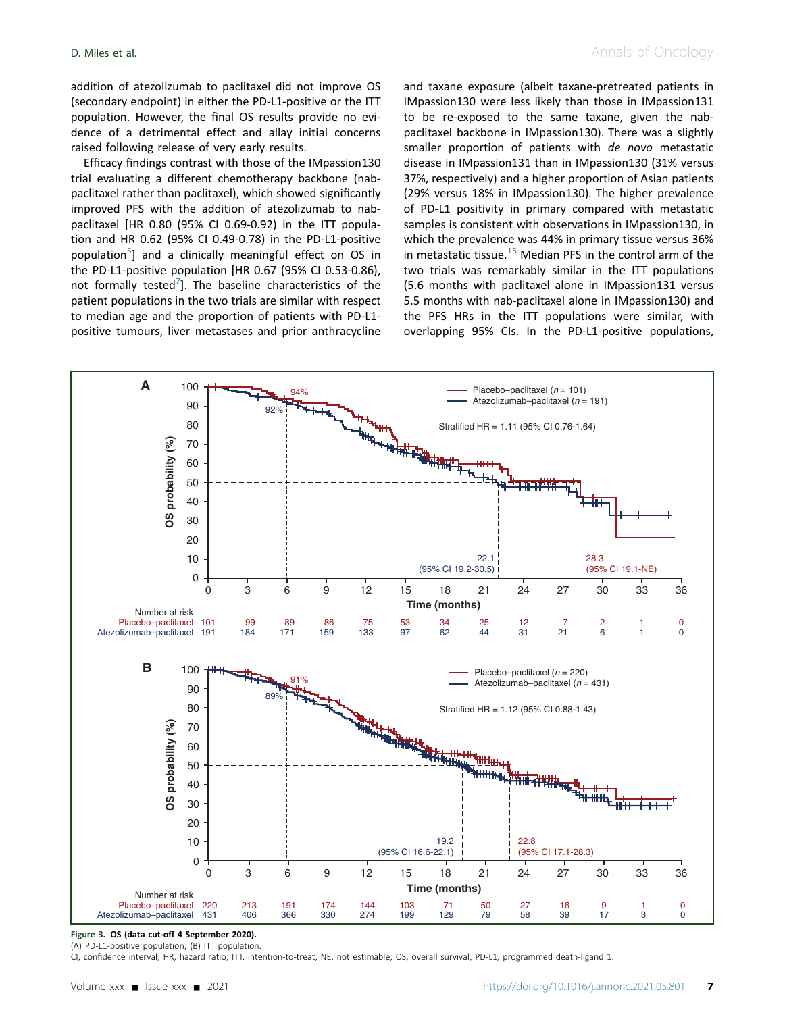addition of atezolizumab to paclitaxel did not improve OS (secondary endpoint) in either the PD-L1-positive or the ITT population. However, the final OS results provide no evidence of a detrimental effect and allay initial concerns raised following release of very early results.

Efficacy findings contrast with those of the IMpassion130 trial evaluating a different chemotherapy backbone (nabpaclitaxel rather than paclitaxel), which showed significantly improved PFS with the addition of atezolizumab to nabpaclitaxel [HR 0.80 (95% CI 0.69-0.92) in the ITT population and HR 0.62 (95% CI 0.49-0.78) in the PD-L1-positive population<sup>[5](#page-9-4)</sup>] and a clinically meaningful effect on OS in the PD-L1-positive population [HR 0.67 (95% CI 0.53-0.86), not formally tested<sup>7</sup>]. The baseline characteristics of the patient populations in the two trials are similar with respect to median age and the proportion of patients with PD-L1 positive tumours, liver metastases and prior anthracycline

and taxane exposure (albeit taxane-pretreated patients in IMpassion130 were less likely than those in IMpassion131 to be re-exposed to the same taxane, given the nabpaclitaxel backbone in IMpassion130). There was a slightly smaller proportion of patients with de novo metastatic disease in IMpassion131 than in IMpassion130 (31% versus 37%, respectively) and a higher proportion of Asian patients (29% versus 18% in IMpassion130). The higher prevalence of PD-L1 positivity in primary compared with metastatic samples is consistent with observations in IMpassion130, in which the prevalence was 44% in primary tissue versus 36% in metastatic tissue.<sup>[15](#page-9-13)</sup> Median PFS in the control arm of the two trials was remarkably similar in the ITT populations (5.6 months with paclitaxel alone in IMpassion131 versus 5.5 months with nab-paclitaxel alone in IMpassion130) and the PFS HRs in the ITT populations were similar, with overlapping 95% CIs. In the PD-L1-positive populations,

<span id="page-6-0"></span>

#### Figure 3. OS (data cut-off 4 September 2020). (A) PD-L1-positive population; (B) ITT population.

CI, confidence interval; HR, hazard ratio; ITT, intention-to-treat; NE, not estimable; OS, overall survival; PD-L1, programmed death-ligand 1.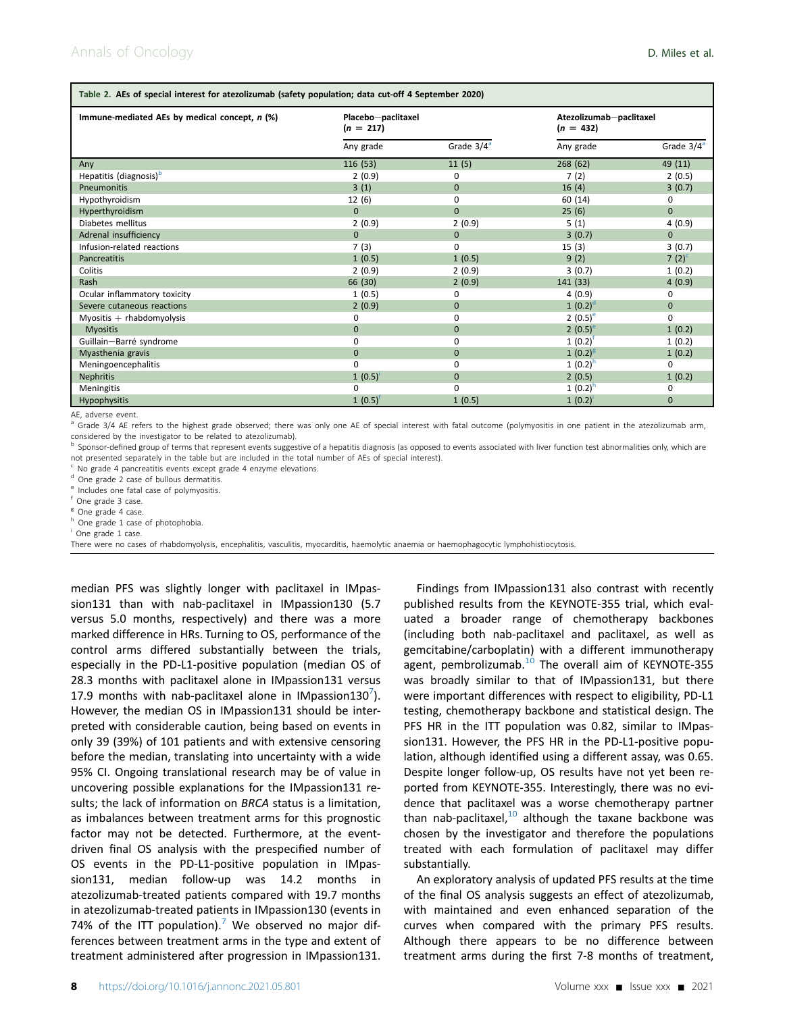<span id="page-7-0"></span>

| Table 2. AEs of special interest for atezolizumab (safety population; data cut-off 4 September 2020) |                                   |               |                                        |               |  |  |  |
|------------------------------------------------------------------------------------------------------|-----------------------------------|---------------|----------------------------------------|---------------|--|--|--|
| Immune-mediated AEs by medical concept, n (%)                                                        | Placebo-paclitaxel<br>$(n = 217)$ |               | Atezolizumab-paclitaxel<br>$(n = 432)$ |               |  |  |  |
|                                                                                                      | Any grade                         | Grade $3/4^a$ | Any grade                              | Grade $3/4^a$ |  |  |  |
| Any                                                                                                  | 116(53)                           | 11(5)         | 268(62)                                | 49 (11)       |  |  |  |
| Hepatitis (diagnosis) <sup>b</sup>                                                                   | 2(0.9)                            | $\Omega$      | 7(2)                                   | 2(0.5)        |  |  |  |
| <b>Pneumonitis</b>                                                                                   | 3(1)                              | $\Omega$      | 16(4)                                  | 3(0.7)        |  |  |  |
| Hypothyroidism                                                                                       | 12(6)                             | $\Omega$      | 60 (14)                                | 0             |  |  |  |
| Hyperthyroidism                                                                                      | $\Omega$                          | $\Omega$      | 25(6)                                  | $\Omega$      |  |  |  |
| Diabetes mellitus                                                                                    | 2(0.9)                            | 2(0.9)        | 5(1)                                   | 4(0.9)        |  |  |  |
| Adrenal insufficiency                                                                                | $\Omega$                          | $\Omega$      | 3(0.7)                                 | $\Omega$      |  |  |  |
| Infusion-related reactions                                                                           | 7(3)                              | $\Omega$      | 15(3)                                  | 3(0.7)        |  |  |  |
| Pancreatitis                                                                                         | 1(0.5)                            | 1(0.5)        | 9(2)                                   | 7 $(2)^{c}$   |  |  |  |
| Colitis                                                                                              | 2(0.9)                            | 2(0.9)        | 3(0.7)                                 | 1(0.2)        |  |  |  |
| Rash                                                                                                 | 66 (30)                           | 2(0.9)        | 141 (33)                               | 4(0.9)        |  |  |  |
| Ocular inflammatory toxicity                                                                         | 1(0.5)                            | $\Omega$      | 4(0.9)                                 | 0             |  |  |  |
| Severe cutaneous reactions                                                                           | 2(0.9)                            | $\Omega$      | $1(0.2)^d$                             | $\mathbf{0}$  |  |  |  |
| Myositis $+$ rhabdomyolysis                                                                          | 0                                 | 0             | 2 $(0.5)^e$                            | 0             |  |  |  |
| <b>Myositis</b>                                                                                      | $\Omega$                          | $\Omega$      | 2 $(0.5)^e$                            | 1(0.2)        |  |  |  |
| Guillain-Barré syndrome                                                                              | 0                                 | $\Omega$      | $1(0.2)^{t}$                           | 1(0.2)        |  |  |  |
| Myasthenia gravis                                                                                    | $\Omega$                          | $\Omega$      | $1(0.2)^g$                             | 1(0.2)        |  |  |  |
| Meningoencephalitis                                                                                  | $\Omega$                          | $\Omega$      | $1(0.2)^{h}$                           | $\Omega$      |  |  |  |
| <b>Nephritis</b>                                                                                     | 1(0.5)                            | $\Omega$      | 2(0.5)                                 | 1(0.2)        |  |  |  |
| <b>Meningitis</b>                                                                                    | 0                                 | $\Omega$      | 1 $(0.2)^h$                            | 0             |  |  |  |
| Hypophysitis                                                                                         | 1(0.5)                            | 1(0.5)        | 1(0.2)                                 | $\mathbf{0}$  |  |  |  |

AE, adverse event

<span id="page-7-1"></span><sup>a</sup> Grade 3/4 AE refers to the highest grade observed; there was only one AE of special interest with fatal outcome (polymyositis in one patient in the atezolizumab arm, considered by the investigator to be related to atezolizumab).

<span id="page-7-2"></span>**b** Sponsor-defined group of terms that represent events suggestive of a hepatitis diagnosis (as opposed to events associated with liver function test abnormalities only, which are not presented separately in the table but are included in the total number of AEs of special interest).

<span id="page-7-3"></span> $\textdegree$  No grade 4 pancreatitis events except grade 4 enzyme elevations.<br> $\textdegree$  One grade 2 case of bullous dermatitis.

<span id="page-7-4"></span>

<span id="page-7-5"></span> $e^e$  Includes one fatal case of polymyositis.  $f^e$  One grade 3 case.

<span id="page-7-6"></span>

<span id="page-7-7"></span>

<span id="page-7-8"></span><sup>g</sup> One grade 4 case.<br>
<sup>h</sup> One grade 1 case of photophobia.<br>
<sup>i</sup> One grade 1 case.

<span id="page-7-9"></span>

There were no cases of rhabdomyolysis, encephalitis, vasculitis, myocarditis, haemolytic anaemia or haemophagocytic lymphohistiocytosis.

median PFS was slightly longer with paclitaxel in IMpassion131 than with nab-paclitaxel in IMpassion130 (5.7 versus 5.0 months, respectively) and there was a more marked difference in HRs. Turning to OS, performance of the control arms differed substantially between the trials, especially in the PD-L1-positive population (median OS of 28.3 months with paclitaxel alone in IMpassion131 versus 1[7](#page-9-12).9 months with nab-paclitaxel alone in IMpassion130<sup>7</sup>). However, the median OS in IMpassion131 should be interpreted with considerable caution, being based on events in only 39 (39%) of 101 patients and with extensive censoring before the median, translating into uncertainty with a wide 95% CI. Ongoing translational research may be of value in uncovering possible explanations for the IMpassion131 results; the lack of information on BRCA status is a limitation, as imbalances between treatment arms for this prognostic factor may not be detected. Furthermore, at the eventdriven final OS analysis with the prespecified number of OS events in the PD-L1-positive population in IMpassion131, median follow-up was 14.2 months in atezolizumab-treated patients compared with 19.7 months in atezolizumab-treated patients in IMpassion130 (events in [7](#page-9-12)4% of the ITT population).<sup>7</sup> We observed no major differences between treatment arms in the type and extent of treatment administered after progression in IMpassion131.

Findings from IMpassion131 also contrast with recently published results from the KEYNOTE-355 trial, which evaluated a broader range of chemotherapy backbones (including both nab-paclitaxel and paclitaxel, as well as gemcitabine/carboplatin) with a different immunotherapy agent, pembrolizumab. $10$  The overall aim of KEYNOTE-355 was broadly similar to that of IMpassion131, but there were important differences with respect to eligibility, PD-L1 testing, chemotherapy backbone and statistical design. The PFS HR in the ITT population was 0.82, similar to IMpassion131. However, the PFS HR in the PD-L1-positive population, although identified using a different assay, was 0.65. Despite longer follow-up, OS results have not yet been reported from KEYNOTE-355. Interestingly, there was no evidence that paclitaxel was a worse chemotherapy partner than nab-paclitaxel, $10$  although the taxane backbone was chosen by the investigator and therefore the populations treated with each formulation of paclitaxel may differ substantially.

An exploratory analysis of updated PFS results at the time of the final OS analysis suggests an effect of atezolizumab, with maintained and even enhanced separation of the curves when compared with the primary PFS results. Although there appears to be no difference between treatment arms during the first 7-8 months of treatment,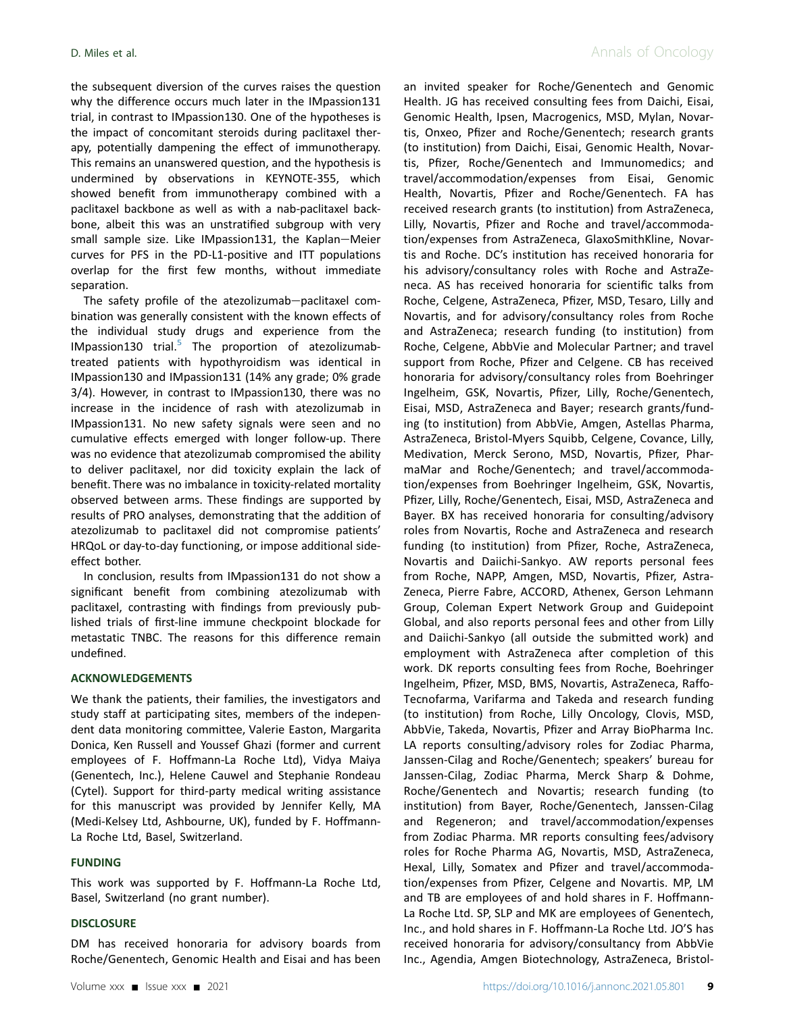the subsequent diversion of the curves raises the question why the difference occurs much later in the IMpassion131 trial, in contrast to IMpassion130. One of the hypotheses is the impact of concomitant steroids during paclitaxel therapy, potentially dampening the effect of immunotherapy. This remains an unanswered question, and the hypothesis is undermined by observations in KEYNOTE-355, which showed benefit from immunotherapy combined with a paclitaxel backbone as well as with a nab-paclitaxel backbone, albeit this was an unstratified subgroup with very small sample size. Like IMpassion131, the Kaplan-Meier curves for PFS in the PD-L1-positive and ITT populations overlap for the first few months, without immediate separation.

The safety profile of the atezolizumab-paclitaxel combination was generally consistent with the known effects of the individual study drugs and experience from the IMpassion130 trial. $5$  The proportion of atezolizumabtreated patients with hypothyroidism was identical in IMpassion130 and IMpassion131 (14% any grade; 0% grade 3/4). However, in contrast to IMpassion130, there was no increase in the incidence of rash with atezolizumab in IMpassion131. No new safety signals were seen and no cumulative effects emerged with longer follow-up. There was no evidence that atezolizumab compromised the ability to deliver paclitaxel, nor did toxicity explain the lack of benefit. There was no imbalance in toxicity-related mortality observed between arms. These findings are supported by results of PRO analyses, demonstrating that the addition of atezolizumab to paclitaxel did not compromise patients' HRQoL or day-to-day functioning, or impose additional sideeffect bother.

In conclusion, results from IMpassion131 do not show a significant benefit from combining atezolizumab with paclitaxel, contrasting with findings from previously published trials of first-line immune checkpoint blockade for metastatic TNBC. The reasons for this difference remain undefined.

#### ACKNOWLEDGEMENTS

We thank the patients, their families, the investigators and study staff at participating sites, members of the independent data monitoring committee, Valerie Easton, Margarita Donica, Ken Russell and Youssef Ghazi (former and current employees of F. Hoffmann-La Roche Ltd), Vidya Maiya (Genentech, Inc.), Helene Cauwel and Stephanie Rondeau (Cytel). Support for third-party medical writing assistance for this manuscript was provided by Jennifer Kelly, MA (Medi-Kelsey Ltd, Ashbourne, UK), funded by F. Hoffmann-La Roche Ltd, Basel, Switzerland.

#### FUNDING

This work was supported by F. Hoffmann-La Roche Ltd, Basel, Switzerland (no grant number).

#### **DISCLOSURE**

DM has received honoraria for advisory boards from Roche/Genentech, Genomic Health and Eisai and has been

an invited speaker for Roche/Genentech and Genomic Health. JG has received consulting fees from Daichi, Eisai, Genomic Health, Ipsen, Macrogenics, MSD, Mylan, Novartis, Onxeo, Pfizer and Roche/Genentech; research grants (to institution) from Daichi, Eisai, Genomic Health, Novartis, Pfizer, Roche/Genentech and Immunomedics; and travel/accommodation/expenses from Eisai, Genomic Health, Novartis, Pfizer and Roche/Genentech. FA has received research grants (to institution) from AstraZeneca, Lilly, Novartis, Pfizer and Roche and travel/accommodation/expenses from AstraZeneca, GlaxoSmithKline, Novartis and Roche. DC's institution has received honoraria for his advisory/consultancy roles with Roche and AstraZeneca. AS has received honoraria for scientific talks from Roche, Celgene, AstraZeneca, Pfizer, MSD, Tesaro, Lilly and Novartis, and for advisory/consultancy roles from Roche and AstraZeneca; research funding (to institution) from Roche, Celgene, AbbVie and Molecular Partner; and travel support from Roche, Pfizer and Celgene. CB has received honoraria for advisory/consultancy roles from Boehringer Ingelheim, GSK, Novartis, Pfizer, Lilly, Roche/Genentech, Eisai, MSD, AstraZeneca and Bayer; research grants/funding (to institution) from AbbVie, Amgen, Astellas Pharma, AstraZeneca, Bristol-Myers Squibb, Celgene, Covance, Lilly, Medivation, Merck Serono, MSD, Novartis, Pfizer, PharmaMar and Roche/Genentech; and travel/accommodation/expenses from Boehringer Ingelheim, GSK, Novartis, Pfizer, Lilly, Roche/Genentech, Eisai, MSD, AstraZeneca and Bayer. BX has received honoraria for consulting/advisory roles from Novartis, Roche and AstraZeneca and research funding (to institution) from Pfizer, Roche, AstraZeneca, Novartis and Daiichi-Sankyo. AW reports personal fees from Roche, NAPP, Amgen, MSD, Novartis, Pfizer, Astra-Zeneca, Pierre Fabre, ACCORD, Athenex, Gerson Lehmann Group, Coleman Expert Network Group and Guidepoint Global, and also reports personal fees and other from Lilly and Daiichi-Sankyo (all outside the submitted work) and employment with AstraZeneca after completion of this work. DK reports consulting fees from Roche, Boehringer Ingelheim, Pfizer, MSD, BMS, Novartis, AstraZeneca, Raffo-Tecnofarma, Varifarma and Takeda and research funding (to institution) from Roche, Lilly Oncology, Clovis, MSD, AbbVie, Takeda, Novartis, Pfizer and Array BioPharma Inc. LA reports consulting/advisory roles for Zodiac Pharma, Janssen-Cilag and Roche/Genentech; speakers' bureau for Janssen-Cilag, Zodiac Pharma, Merck Sharp & Dohme, Roche/Genentech and Novartis; research funding (to institution) from Bayer, Roche/Genentech, Janssen-Cilag and Regeneron; and travel/accommodation/expenses from Zodiac Pharma. MR reports consulting fees/advisory roles for Roche Pharma AG, Novartis, MSD, AstraZeneca, Hexal, Lilly, Somatex and Pfizer and travel/accommodation/expenses from Pfizer, Celgene and Novartis. MP, LM and TB are employees of and hold shares in F. Hoffmann-La Roche Ltd. SP, SLP and MK are employees of Genentech, Inc., and hold shares in F. Hoffmann-La Roche Ltd. JO'S has received honoraria for advisory/consultancy from AbbVie Inc., Agendia, Amgen Biotechnology, AstraZeneca, Bristol-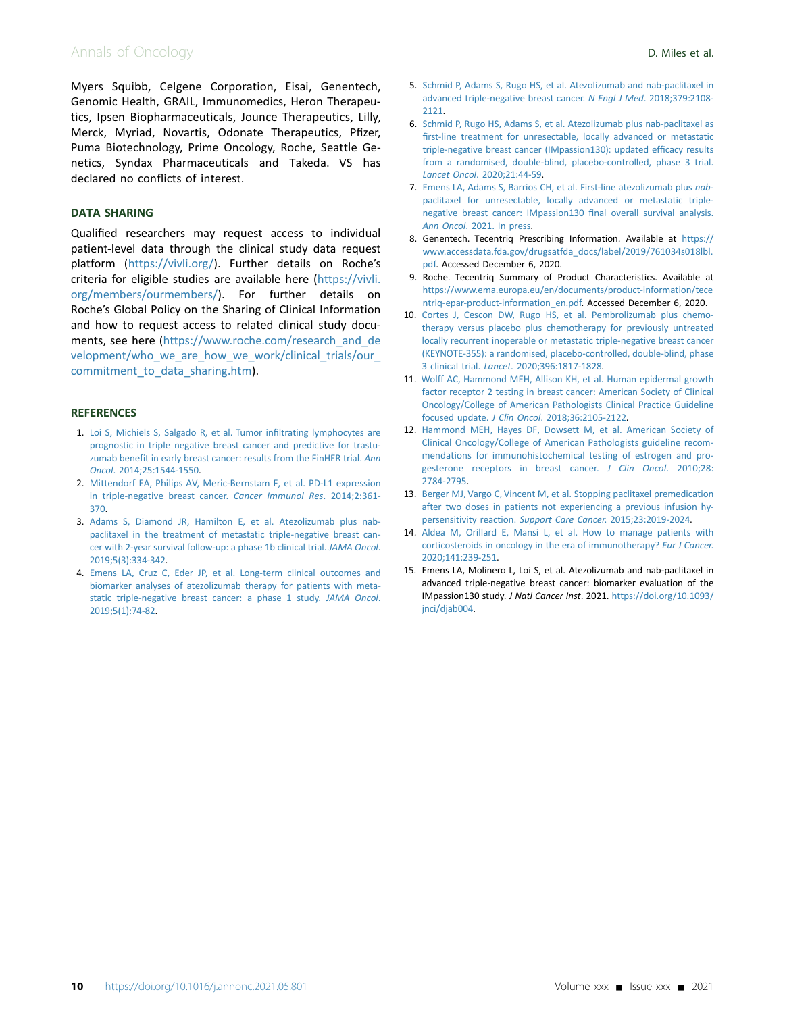# Annals of Oncology **D. Miles et al.**

Myers Squibb, Celgene Corporation, Eisai, Genentech, Genomic Health, GRAIL, Immunomedics, Heron Therapeutics, Ipsen Biopharmaceuticals, Jounce Therapeutics, Lilly, Merck, Myriad, Novartis, Odonate Therapeutics, Pfizer, Puma Biotechnology, Prime Oncology, Roche, Seattle Genetics, Syndax Pharmaceuticals and Takeda. VS has declared no conflicts of interest.

#### DATA SHARING

Qualified researchers may request access to individual patient-level data through the clinical study data request platform [\(https://vivli.org/\)](https://vivli.org/). Further details on Roche's criteria for eligible studies are available here ([https://vivli.](https://vivli.org/members/ourmembers/) [org/members/ourmembers/\)](https://vivli.org/members/ourmembers/). For further details on Roche's Global Policy on the Sharing of Clinical Information and how to request access to related clinical study documents, see here [\(https://www.roche.com/research\\_and\\_de](https://www.roche.com/research_and_development/who_we_are_how_we_work/clinical_trials/our_commitment_to_data_sharing.htm) [velopment/who\\_we\\_are\\_how\\_we\\_work/clinical\\_trials/our\\_](https://www.roche.com/research_and_development/who_we_are_how_we_work/clinical_trials/our_commitment_to_data_sharing.htm) commitment to data sharing.htm).

#### <span id="page-9-0"></span>**REFERENCES**

- 1. [Loi S, Michiels S, Salgado R, et al. Tumor in](http://refhub.elsevier.com/S0923-7534(21)02026-3/sref1)filtrating lymphocytes are [prognostic in triple negative breast cancer and predictive for trastu](http://refhub.elsevier.com/S0923-7534(21)02026-3/sref1)zumab benefi[t in early breast cancer: results from the FinHER trial.](http://refhub.elsevier.com/S0923-7534(21)02026-3/sref1) Ann Oncol[. 2014;25:1544-1550](http://refhub.elsevier.com/S0923-7534(21)02026-3/sref1).
- <span id="page-9-1"></span>2. [Mittendorf EA, Philips AV, Meric-Bernstam F, et al. PD-L1 expression](http://refhub.elsevier.com/S0923-7534(21)02026-3/sref2) [in triple-negative breast cancer.](http://refhub.elsevier.com/S0923-7534(21)02026-3/sref2) Cancer Immunol Res. 2014;2:361- [370](http://refhub.elsevier.com/S0923-7534(21)02026-3/sref2).
- <span id="page-9-2"></span>3. [Adams S, Diamond JR, Hamilton E, et al. Atezolizumab plus nab](http://refhub.elsevier.com/S0923-7534(21)02026-3/sref3)[paclitaxel in the treatment of metastatic triple-negative breast can](http://refhub.elsevier.com/S0923-7534(21)02026-3/sref3)[cer with 2-year survival follow-up: a phase 1b clinical trial.](http://refhub.elsevier.com/S0923-7534(21)02026-3/sref3) JAMA Oncol. [2019;5\(3\):334-342](http://refhub.elsevier.com/S0923-7534(21)02026-3/sref3).
- <span id="page-9-3"></span>4. [Emens LA, Cruz C, Eder JP, et al. Long-term clinical outcomes and](http://refhub.elsevier.com/S0923-7534(21)02026-3/sref4) [biomarker analyses of atezolizumab therapy for patients with meta](http://refhub.elsevier.com/S0923-7534(21)02026-3/sref4)[static triple-negative breast cancer: a phase 1 study.](http://refhub.elsevier.com/S0923-7534(21)02026-3/sref4) JAMA Oncol. [2019;5\(1\):74-82](http://refhub.elsevier.com/S0923-7534(21)02026-3/sref4).
- <span id="page-9-4"></span>5. [Schmid P, Adams S, Rugo HS, et al. Atezolizumab and nab-paclitaxel in](http://refhub.elsevier.com/S0923-7534(21)02026-3/sref5) [advanced triple-negative breast cancer.](http://refhub.elsevier.com/S0923-7534(21)02026-3/sref5) N Engl J Med. 2018;379:2108- [2121.](http://refhub.elsevier.com/S0923-7534(21)02026-3/sref5)
- 6. [Schmid P, Rugo HS, Adams S, et al. Atezolizumab plus nab-paclitaxel as](http://refhub.elsevier.com/S0923-7534(21)02026-3/sref6) fi[rst-line treatment for unresectable, locally advanced or metastatic](http://refhub.elsevier.com/S0923-7534(21)02026-3/sref6) [triple-negative breast cancer \(IMpassion130\): updated ef](http://refhub.elsevier.com/S0923-7534(21)02026-3/sref6)ficacy results [from a randomised, double-blind, placebo-controlled, phase 3 trial.](http://refhub.elsevier.com/S0923-7534(21)02026-3/sref6) Lancet Oncol[. 2020;21:44-59.](http://refhub.elsevier.com/S0923-7534(21)02026-3/sref6)
- <span id="page-9-12"></span>7. [Emens LA, Adams S, Barrios CH, et al. First-line atezolizumab plus](http://refhub.elsevier.com/S0923-7534(21)02026-3/sref7) nab[paclitaxel for unresectable, locally advanced or metastatic triple](http://refhub.elsevier.com/S0923-7534(21)02026-3/sref7)[negative breast cancer: IMpassion130](http://refhub.elsevier.com/S0923-7534(21)02026-3/sref7) final overall survival analysis. Ann Oncol[. 2021. In press](http://refhub.elsevier.com/S0923-7534(21)02026-3/sref7).
- <span id="page-9-5"></span>8. Genentech. Tecentriq Prescribing Information. Available at [https://](https://www.accessdata.fda.gov/drugsatfda_docs/label/2019/761034s018lbl.pdf) [www.accessdata.fda.gov/drugsatfda\\_docs/label/2019/761034s018lbl.](https://www.accessdata.fda.gov/drugsatfda_docs/label/2019/761034s018lbl.pdf) [pdf.](https://www.accessdata.fda.gov/drugsatfda_docs/label/2019/761034s018lbl.pdf) Accessed December 6, 2020.
- <span id="page-9-6"></span>9. Roche. Tecentriq Summary of Product Characteristics. Available at [https://www.ema.europa.eu/en/documents/product-information/tece](https://www.ema.europa.eu/en/documents/product-information/tecentriq-epar-product-information_en.pdf) [ntriq-epar-product-information\\_en.pdf.](https://www.ema.europa.eu/en/documents/product-information/tecentriq-epar-product-information_en.pdf) Accessed December 6, 2020.
- <span id="page-9-7"></span>10. [Cortes J, Cescon DW, Rugo HS, et al. Pembrolizumab plus chemo](http://refhub.elsevier.com/S0923-7534(21)02026-3/sref10)[therapy versus placebo plus chemotherapy for previously untreated](http://refhub.elsevier.com/S0923-7534(21)02026-3/sref10) [locally recurrent inoperable or metastatic triple-negative breast cancer](http://refhub.elsevier.com/S0923-7534(21)02026-3/sref10) [\(KEYNOTE-355\): a randomised, placebo-controlled, double-blind, phase](http://refhub.elsevier.com/S0923-7534(21)02026-3/sref10) 3 clinical trial. Lancet[. 2020;396:1817-1828](http://refhub.elsevier.com/S0923-7534(21)02026-3/sref10).
- <span id="page-9-8"></span>11. [Wolff AC, Hammond MEH, Allison KH, et al. Human epidermal growth](http://refhub.elsevier.com/S0923-7534(21)02026-3/sref11) [factor receptor 2 testing in breast cancer: American Society of Clinical](http://refhub.elsevier.com/S0923-7534(21)02026-3/sref11) [Oncology/College of American Pathologists Clinical Practice Guideline](http://refhub.elsevier.com/S0923-7534(21)02026-3/sref11) focused update. J Clin Oncol[. 2018;36:2105-2122.](http://refhub.elsevier.com/S0923-7534(21)02026-3/sref11)
- <span id="page-9-9"></span>12. [Hammond MEH, Hayes DF, Dowsett M, et al. American Society of](http://refhub.elsevier.com/S0923-7534(21)02026-3/sref12) [Clinical Oncology/College of American Pathologists guideline recom](http://refhub.elsevier.com/S0923-7534(21)02026-3/sref12)[mendations for immunohistochemical testing of estrogen and pro](http://refhub.elsevier.com/S0923-7534(21)02026-3/sref12)[gesterone receptors in breast cancer.](http://refhub.elsevier.com/S0923-7534(21)02026-3/sref12) J Clin Oncol. 2010;28: [2784-2795](http://refhub.elsevier.com/S0923-7534(21)02026-3/sref12).
- <span id="page-9-10"></span>13. [Berger MJ, Vargo C, Vincent M, et al. Stopping paclitaxel premedication](http://refhub.elsevier.com/S0923-7534(21)02026-3/sref13) [after two doses in patients not experiencing a previous infusion hy](http://refhub.elsevier.com/S0923-7534(21)02026-3/sref13)[persensitivity reaction.](http://refhub.elsevier.com/S0923-7534(21)02026-3/sref13) Support Care Cancer. 2015;23:2019-2024.
- <span id="page-9-11"></span>14. [Aldea M, Orillard E, Mansi L, et al. How to manage patients with](http://refhub.elsevier.com/S0923-7534(21)02026-3/sref14) [corticosteroids in oncology in the era of immunotherapy?](http://refhub.elsevier.com/S0923-7534(21)02026-3/sref14) Eur J Cancer. [2020;141:239-251.](http://refhub.elsevier.com/S0923-7534(21)02026-3/sref14)
- <span id="page-9-13"></span>15. Emens LA, Molinero L, Loi S, et al. Atezolizumab and nab-paclitaxel in advanced triple-negative breast cancer: biomarker evaluation of the IMpassion130 study. J Natl Cancer Inst. 2021. [https://doi.org/10.1093/](https://doi.org/10.1093/jnci/djab004) [jnci/djab004](https://doi.org/10.1093/jnci/djab004).